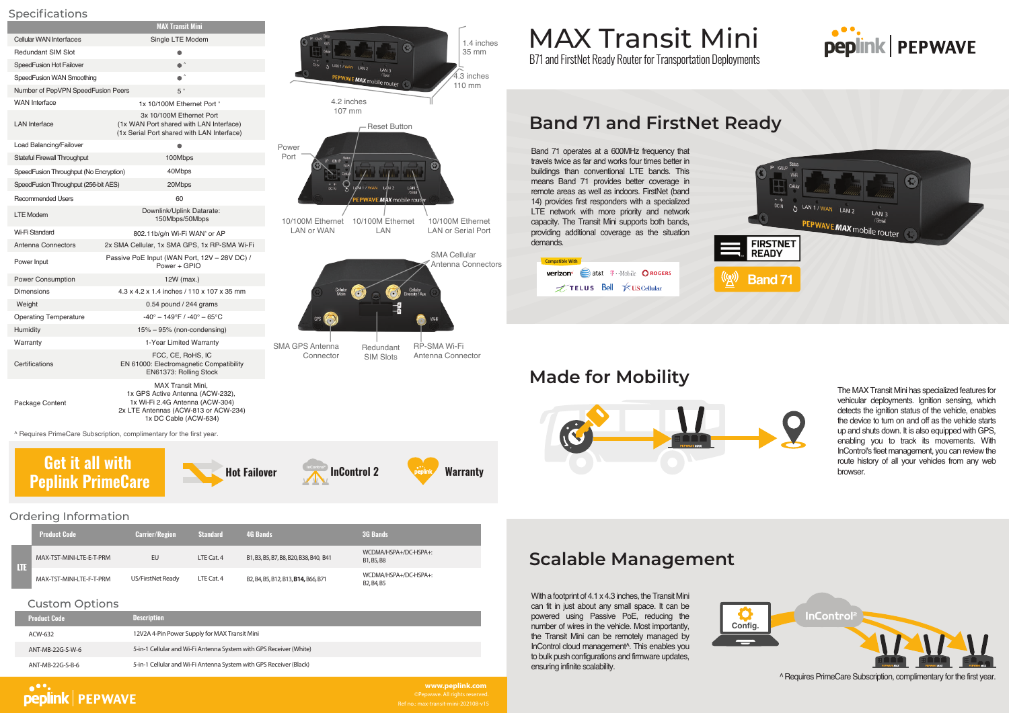# MAX Transit Mini

### **Made for Mobility**



The MAX Transit Mini has specialized features for vehicular deployments. Ignition sensing, which detects the ignition status of the vehicle, enables the device to turn on and off as the vehicle starts up and shuts down. It is also equipped with GPS, enabling you to track its movements. With InControl's fleet management, you can review the route history of all your vehicles from any web browser.

## **Band 71 and FirstNet Ready**

Band 71 operates at a 600MHz frequency that travels twice as far and works four times better in buildings than conventional LTE bands. This means Band 71 provides better coverage in remote areas as well as indoors. FirstNet (band 14) provides first responders with a specialized LTE network with more priority and network capacity. The Transit Mini supports both bands, providing additional coverage as the situation demands.

1.4 inches 35 mm

4.3 inches 110 mm

 4.2 inches 107 mm

> RP-SMA Wi-Fi Antenna Connector

#### Ordering Information

|    | <b>Product Code</b>      | <b>Carrier/Region</b> | <b>Standard</b> | <b>4G Bands</b>                                                                                                                                  | <b>3G Bands</b>                                                           |
|----|--------------------------|-----------------------|-----------------|--------------------------------------------------------------------------------------------------------------------------------------------------|---------------------------------------------------------------------------|
| IΠ | MAX-TST-MINI-LTE-E-T-PRM | EU                    | LTE Cat. $4$    | B1, B3, B5, B7, B8, B20, B38, B40, B41                                                                                                           | WCDMA/HSPA+/DC-HSPA+:<br>B <sub>1</sub> , B <sub>5</sub> , B <sub>8</sub> |
|    | MAX-TST-MINI-LTE-F-T-PRM | US/FirstNet Ready     | LTE Cat. 4      | B <sub>2</sub> , B <sub>4</sub> , B <sub>5</sub> , B <sub>12</sub> , B <sub>13</sub> , <b>B<sub>14</sub></b> , B <sub>66</sub> , B <sub>71</sub> | WCDMA/HSPA+/DC-HSPA+:<br>B2, B4, B5                                       |

### **Get it all with Peplink PrimeCare**





**www.peplink.com** Ref no.: max-transit-mini-202108-v15

### Compatible With verizon at&t T Mobile OROGERS  $\tau$ TELUS Bell  $\hat{\mathcal{K}}$ U.S. Cellular







|                                        | <b>MAX Transit Mini</b>                                                                                                                                          |                                      |
|----------------------------------------|------------------------------------------------------------------------------------------------------------------------------------------------------------------|--------------------------------------|
| Cellular WAN Interfaces                | Single LTE Modem                                                                                                                                                 | <b>KINK</b>                          |
| <b>Redundant SIM Slot</b>              |                                                                                                                                                                  |                                      |
| SpeedFusion Hot Failover               | $\bullet$ $\overline{\phantom{a}}$                                                                                                                               |                                      |
| SpeedFusion WAN Smoothing              | $\bullet$ $\hat{\ }$                                                                                                                                             |                                      |
| Number of PepVPN SpeedFusion Peers     | $5^{\degree}$                                                                                                                                                    |                                      |
| <b>WAN</b> Interface                   | 1x 10/100M Ethernet Port ^                                                                                                                                       | 4.2                                  |
| <b>LAN</b> Interface                   | 3x 10/100M Ethernet Port<br>(1x WAN Port shared with LAN Interface)<br>(1x Serial Port shared with LAN Interface)                                                | 1(                                   |
| Load Balancing/Failover                |                                                                                                                                                                  | Power                                |
| <b>Stateful Firewall Throughput</b>    | 100Mbps                                                                                                                                                          | Port                                 |
| SpeedFusion Throughput (No Encryption) | 40Mbps                                                                                                                                                           |                                      |
| SpeedFusion Throughput (256-bit AES)   | 20Mbps                                                                                                                                                           |                                      |
| <b>Recommended Users</b>               | 60                                                                                                                                                               |                                      |
| <b>LTE Modem</b>                       | Downlink/Uplink Datarate:<br>150Mbps/50Mbps                                                                                                                      | 10/100M Etherne<br><b>LAN or WAN</b> |
| Wi-Fi Standard                         | 802.11b/g/n Wi-Fi WAN <sup>^</sup> or AP                                                                                                                         |                                      |
| Antenna Connectors                     | 2x SMA Cellular, 1x SMA GPS, 1x RP-SMA Wi-Fi                                                                                                                     |                                      |
| Power Input                            | Passive PoE Input (WAN Port, 12V - 28V DC) /<br>Power + GPIO                                                                                                     |                                      |
| Power Consumption                      | 12W (max.)                                                                                                                                                       |                                      |
| <b>Dimensions</b>                      | 4.3 x 4.2 x 1.4 inches / 110 x 107 x 35 mm                                                                                                                       |                                      |
| Weight                                 | $0.54$ pound / 244 grams                                                                                                                                         |                                      |
| <b>Operating Temperature</b>           | $-40^{\circ} - 149^{\circ}$ F / $-40^{\circ} - 65^{\circ}$ C                                                                                                     |                                      |
| <b>Humidity</b>                        | $15\% - 95\%$ (non-condensing)                                                                                                                                   |                                      |
| Warranty                               | 1-Year Limited Warranty                                                                                                                                          | <b>SMA GPS Antenna</b>               |
| Certifications                         | FCC, CE, RoHS, IC<br>EN 61000: Electromagnetic Compatibility<br>EN61373: Rolling Stock                                                                           | Connector                            |
| Package Content                        | <b>MAX Transit Mini.</b><br>1x GPS Active Antenna (ACW-232),<br>1x Wi-Fi 2.4G Antenna (ACW-304)<br>2x LTE Antennas (ACW-813 or ACW-234)<br>1x DC Cable (ACW-634) |                                      |

10/100M Ethernet LAN or Serial Port

10/100M Ethernet LAN

10/100M Ethernet LAN or WAN



SMA Cellular Antenna Connectors B71 and FirstNet Ready Router for Transportation Deployments





### **Scalable Management**

With a footprint of 4.1 x 4.3 inches, the Transit Mini can fit in just about any small space. It can be powered using Passive PoE, reducing the number of wires in the vehicle. Most importantly, the Transit Mini can be remotely managed by InControl cloud management^. This enables you to bulk push configurations and firmware updates, ensuring infinite scalability.





## **peplink | PEPWAVE**

^ Requires PrimeCare Subscription, complimentary for the first year.

Redundant SIM Slots

20

Reset Button

LAN 3

<sup>Sere!</sup><br>PWAVE*MAX* mobile router!

^ Requires PrimeCare Subscription, complimentary for the first year.

#### Specifications

#### Custom Options

| <b>Product Code</b> | <b>Description</b>                                                 |
|---------------------|--------------------------------------------------------------------|
| ACW-632             | 12V2A 4-Pin Power Supply for MAX Transit Mini                      |
| ANT-MB-22G-S-W-6    | 5-in-1 Cellular and Wi-Fi Antenna System with GPS Receiver (White) |
| ANT-MB-22G-S-B-6    | 5-in-1 Cellular and Wi-Fi Antenna System with GPS Receiver (Black) |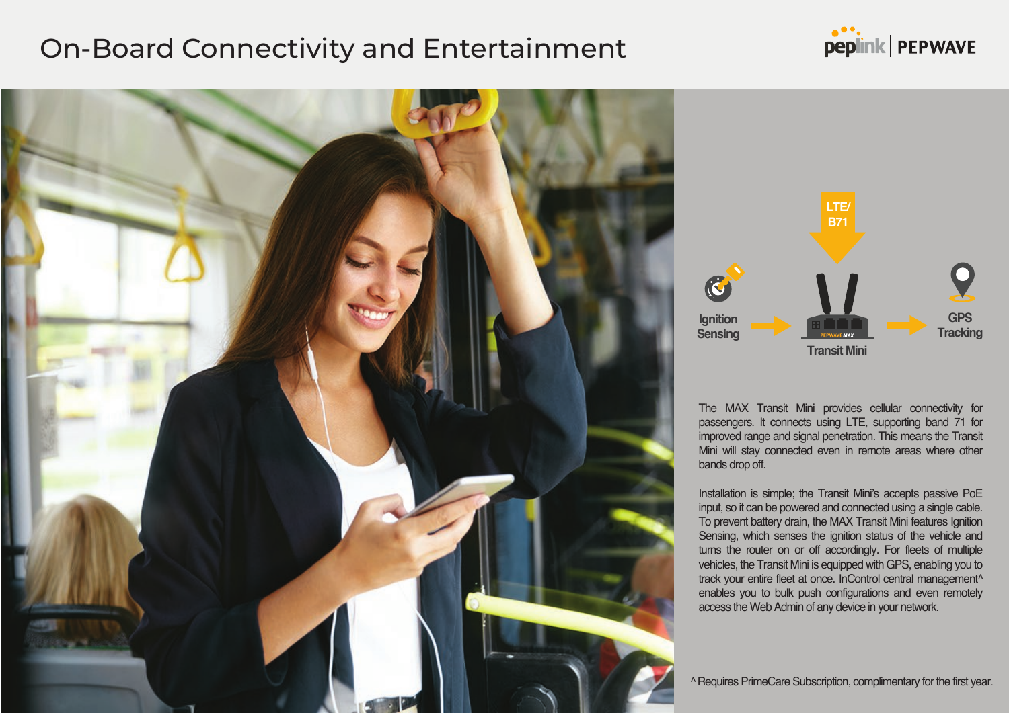## On-Board Connectivity and Entertainment



The MAX Transit Mini provides cellular connectivity for passengers. It connects using LTE, supporting band 71 for improved range and signal penetration. This means the Transit Mini will stay connected even in remote areas where other bands drop off.

Installation is simple; the Transit Mini's accepts passive PoE input, so it can be powered and connected using a single cable. To prevent battery drain, the MAX Transit Mini features Ignition Sensing, which senses the ignition status of the vehicle and turns the router on or off accordingly. For fleets of multiple vehicles, the Transit Mini is equipped with GPS, enabling you to track your entire fleet at once. InControl central management^ enables you to bulk push configurations and even remotely access the Web Admin of any device in your network.

^ Requires PrimeCare Subscription, complimentary for the first year.



**Ignition Sensing**